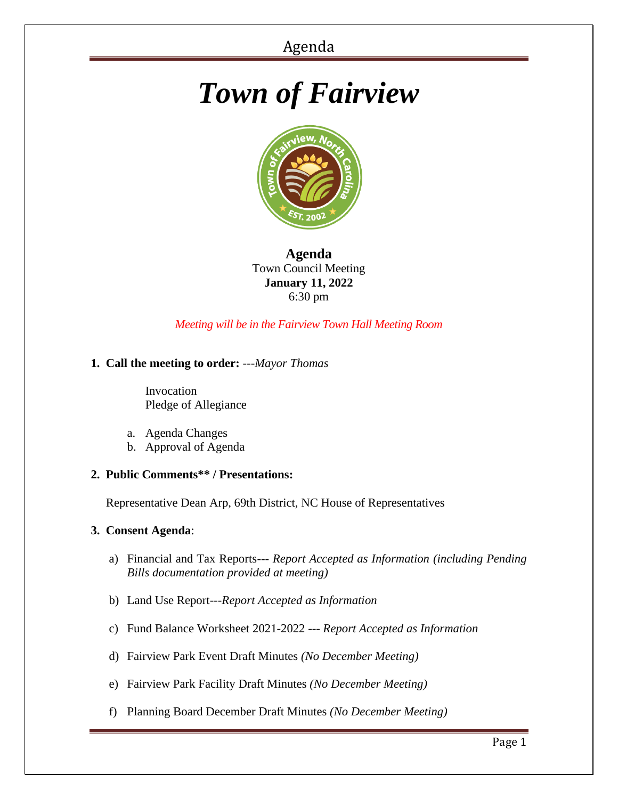# *Town of Fairview*



# **Agenda** Town Council Meeting **January 11, 2022** 6:30 pm

# *Meeting will be in the Fairview Town Hall Meeting Room*

### **1. Call the meeting to order:** *---Mayor Thomas*

 Invocation Pledge of Allegiance

- a. Agenda Changes
- b. Approval of Agenda

### **2. Public Comments\*\* / Presentations:**

Representative Dean Arp, 69th District, NC House of Representatives

#### **3. Consent Agenda**:

- a) Financial and Tax Reports--- *Report Accepted as Information (including Pending Bills documentation provided at meeting)*
- b) Land Use Report---*Report Accepted as Information*
- c) Fund Balance Worksheet 2021-2022 --- *Report Accepted as Information*
- d) Fairview Park Event Draft Minutes *(No December Meeting)*
- e) Fairview Park Facility Draft Minutes *(No December Meeting)*
- f) Planning Board December Draft Minutes *(No December Meeting)*